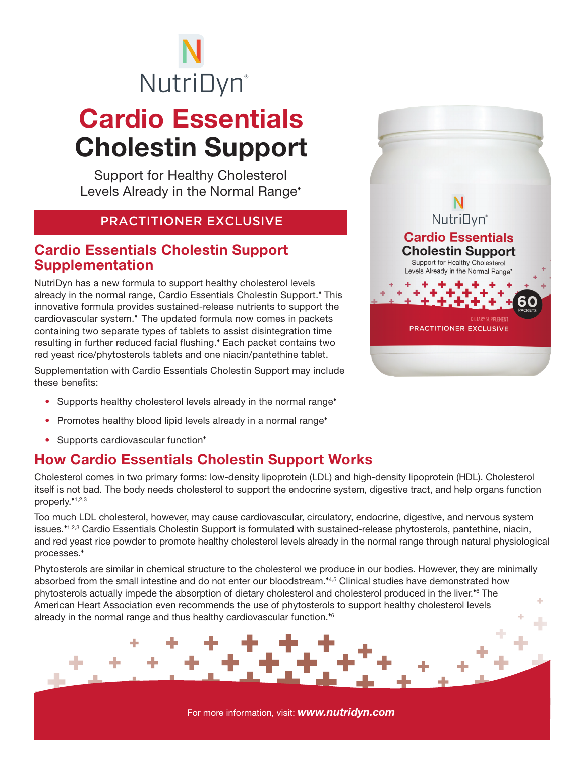# NutriDyn®

## Cardio Essentials Cholestin Support

Support for Healthy Cholesterol Levels Already in the Normal Range\*

#### PRACTITIONER EXCLUSIVE

#### Cardio Essentials Cholestin Support Supplementation

NutriDyn has a new formula to support healthy cholesterol levels already in the normal range, Cardio Essentials Cholestin Support. This innovative formula provides sustained-release nutrients to support the cardiovascular system.<sup>\*</sup> The updated formula now comes in packets containing two separate types of tablets to assist disintegration time resulting in further reduced facial flushing. Each packet contains two red yeast rice/phytosterols tablets and one niacin/pantethine tablet.

Supplementation with Cardio Essentials Cholestin Support may include these benefits:

- Supports healthy cholesterol levels already in the normal range<sup>\*</sup>
- Promotes healthy blood lipid levels already in a normal range<sup>\*</sup>
- Supports cardiovascular function<sup>\*</sup>

### How Cardio Essentials Cholestin Support Works

Cholesterol comes in two primary forms: low-density lipoprotein (LDL) and high-density lipoprotein (HDL). Cholesterol itself is not bad. The body needs cholesterol to support the endocrine system, digestive tract, and help organs function properly.<sup>\*1,2,3</sup>

Too much LDL cholesterol, however, may cause cardiovascular, circulatory, endocrine, digestive, and nervous system issues.<sup>\*1,2,3</sup> Cardio Essentials Cholestin Support is formulated with sustained-release phytosterols, pantethine, niacin, and red yeast rice powder to promote healthy cholesterol levels already in the normal range through natural physiological processes.

Phytosterols are similar in chemical structure to the cholesterol we produce in our bodies. However, they are minimally absorbed from the small intestine and do not enter our bloodstream.\*4,5 Clinical studies have demonstrated how phytosterols actually impede the absorption of dietary cholesterol and cholesterol produced in the liver.<sup>\*6</sup> The American Heart Association even recommends the use of phytosterols to support healthy cholesterol levels already in the normal range and thus healthy cardiovascular function. $66$